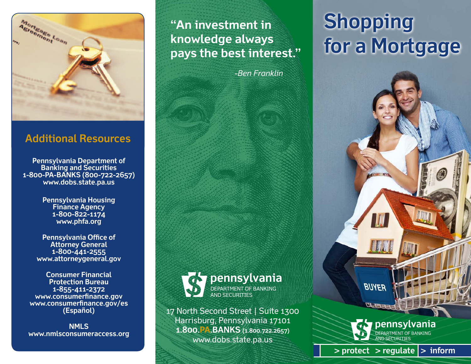

# **Additional Resources**

**Pennsylvania Department of Banking and Securities 1-800-PA-BANKS (800-722-2657) www.dobs.state.pa.us** 

> **Pennsylvania Housing Finance Agency 1-800-822-1174 www.phfa.org**

**Pennsylvania Office of Attorney General 1-800-441-2555 www.attorneygeneral.gov** 

**Consumer Financial Protection Bureau 1-855-411-2372 www.consumerfinance.gov www.consumerfinance.gov/es (Español)**

**NMLS www.nmlsconsumeraccess.org** **"An investment in knowledge always pays the best interest."**

-*Ben Franklin*



17 North Second Street | Suite 1300 Harrisburg, Pennsylvania 17101 **1.800.PA.BANKS (1.800.722.2657)** www.dobs.state.pa.us

# **Shopping for a Mortgage**

**BUYER**